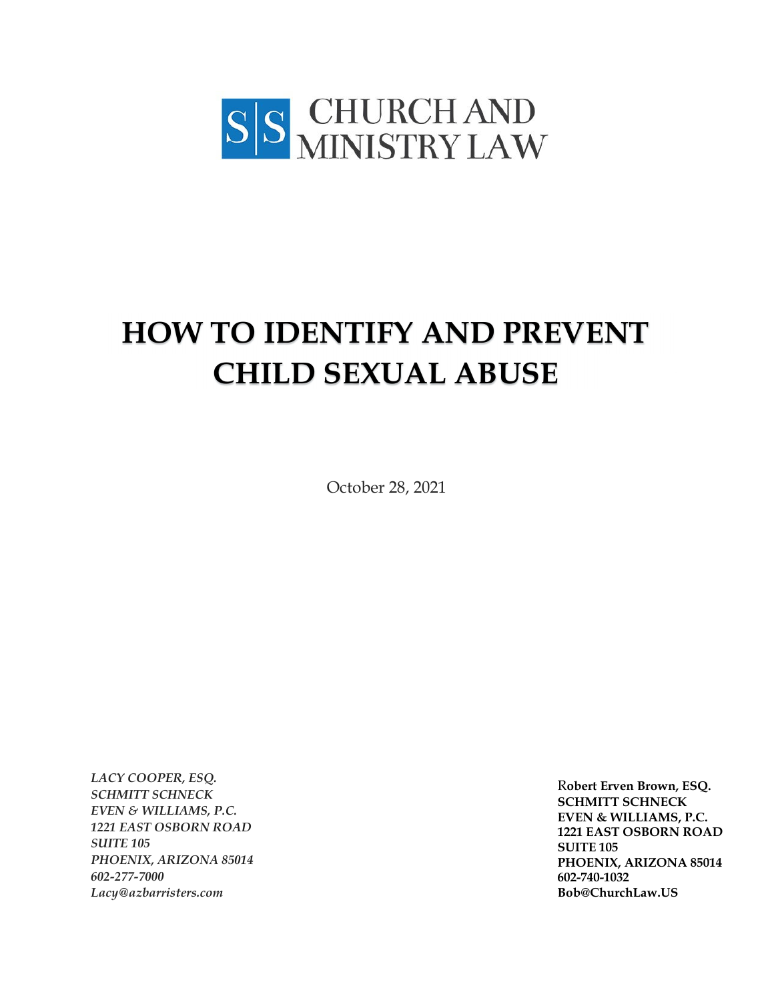

# **HOW TO IDENTIFY AND PREVENT CHILD SEXUAL ABUSE**

October 28, 2021

*LACY COOPER, ESQ. SCHMITT SCHNECK EVEN & WILLIAMS, P.C. 1221 EAST OSBORN ROAD SUITE 105 PHOENIX, ARIZONA 85014 602-277-7000 Lacy@azbarristers.com*

R**obert Erven Brown, ESQ. SCHMITT SCHNECK EVEN & WILLIAMS, P.C. 1221 EAST OSBORN ROAD SUITE 105 PHOENIX, ARIZONA 85014 602-740-1032 Bob@ChurchLaw.US**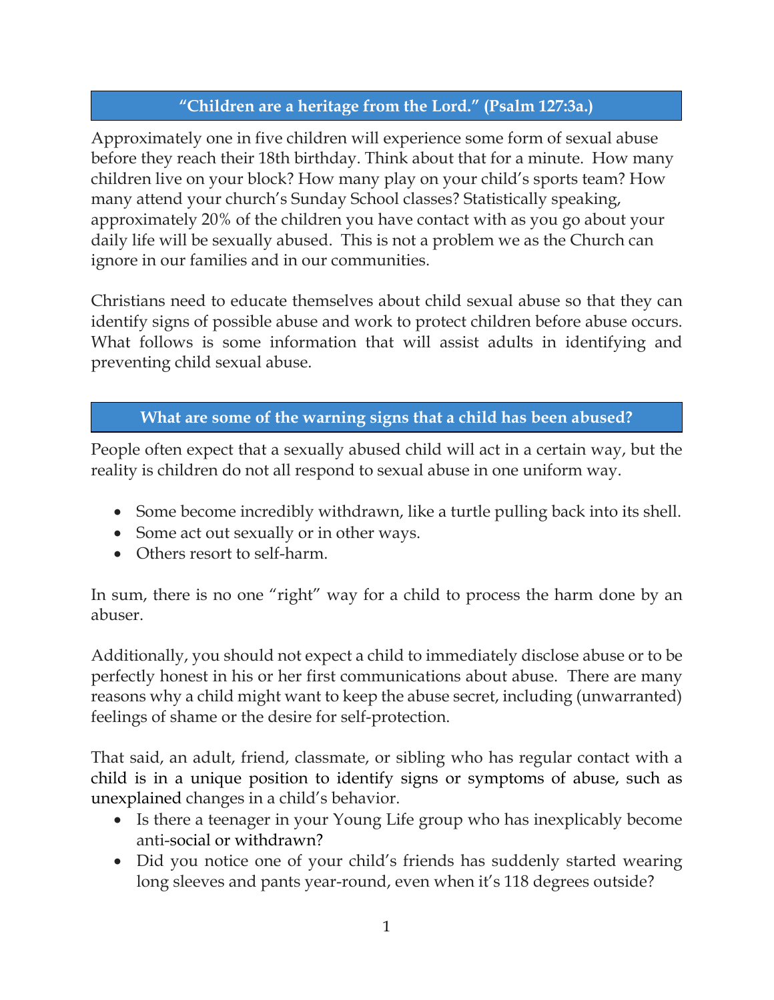## **"Children are a heritage from the Lord." (Psalm 127:3a.)**

Approximately one in five children will experience some form of sexual abuse before they reach their 18th birthday. Think about that for a minute. How many children live on your block? How many play on your child's sports team? How many attend your church's Sunday School classes? Statistically speaking, approximately 20% of the children you have contact with as you go about your daily life will be sexually abused. This is not a problem we as the Church can ignore in our families and in our communities.

Christians need to educate themselves about child sexual abuse so that they can identify signs of possible abuse and work to protect children before abuse occurs. What follows is some information that will assist adults in identifying and preventing child sexual abuse.

## **What are some of the warning signs that a child has been abused?**

People often expect that a sexually abused child will act in a certain way, but the reality is children do not all respond to sexual abuse in one uniform way.

- Some become incredibly withdrawn, like a turtle pulling back into its shell.
- Some act out sexually or in other ways.
- Others resort to self-harm.

In sum, there is no one "right" way for a child to process the harm done by an abuser.

Additionally, you should not expect a child to immediately disclose abuse or to be perfectly honest in his or her first communications about abuse. There are many reasons why a child might want to keep the abuse secret, including (unwarranted) feelings of shame or the desire for self-protection.

That said, an adult, friend, classmate, or sibling who has regular contact with a child is in a unique position to identify signs or symptoms of abuse, such as unexplained changes in a child's behavior.

- Is there a teenager in your Young Life group who has inexplicably become anti-social or withdrawn?
- Did you notice one of your child's friends has suddenly started wearing long sleeves and pants year-round, even when it's 118 degrees outside?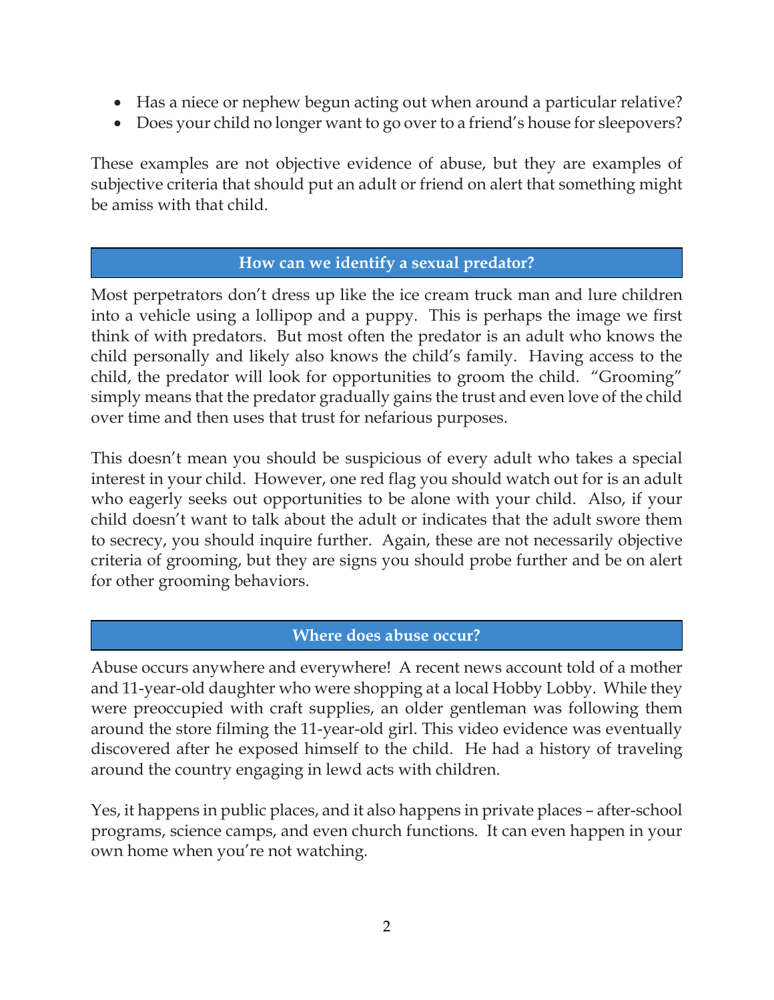- Has a niece or nephew begun acting out when around a particular relative?
- Does your child no longer want to go over to a friend's house for sleepovers?

These examples are not objective evidence of abuse, but they are examples of subjective criteria that should put an adult or friend on alert that something might be amiss with that child.

#### **How can we identify a sexual predator?**

Most perpetrators don't dress up like the ice cream truck man and lure children into a vehicle using a lollipop and a puppy. This is perhaps the image we first think of with predators. But most often the predator is an adult who knows the child personally and likely also knows the child's family. Having access to the child, the predator will look for opportunities to groom the child. "Grooming" simply means that the predator gradually gains the trust and even love of the child over time and then uses that trust for nefarious purposes.

This doesn't mean you should be suspicious of every adult who takes a special interest in your child. However, one red flag you should watch out for is an adult who eagerly seeks out opportunities to be alone with your child. Also, if your child doesn't want to talk about the adult or indicates that the adult swore them to secrecy, you should inquire further. Again, these are not necessarily objective criteria of grooming, but they are signs you should probe further and be on alert for other grooming behaviors.

#### **Where does abuse occur?**

Abuse occurs anywhere and everywhere! A recent news account told of a mother and 11-year-old daughter who were shopping at a local Hobby Lobby. While they were preoccupied with craft supplies, an older gentleman was following them around the store filming the 11-year-old girl. This video evidence was eventually discovered after he exposed himself to the child. He had a history of traveling around the country engaging in lewd acts with children.

Yes, it happens in public places, and it also happens in private places – after-school programs, science camps, and even church functions. It can even happen in your own home when you're not watching.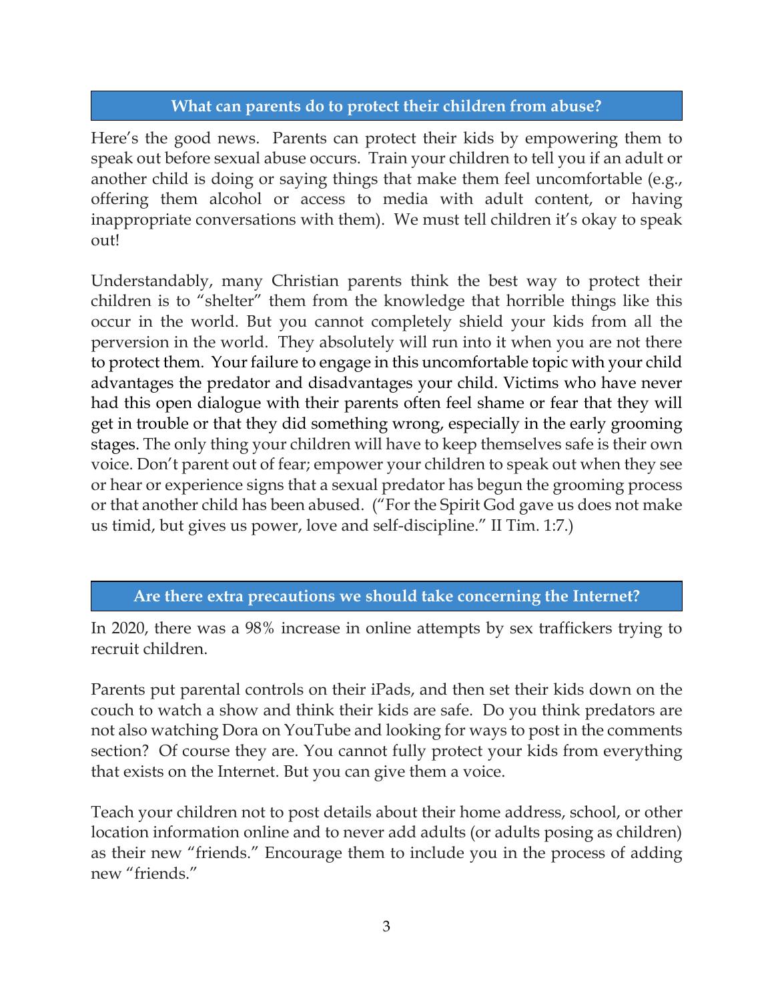#### **What can parents do to protect their children from abuse?**

Here's the good news. Parents can protect their kids by empowering them to speak out before sexual abuse occurs. Train your children to tell you if an adult or another child is doing or saying things that make them feel uncomfortable (e.g., offering them alcohol or access to media with adult content, or having inappropriate conversations with them). We must tell children it's okay to speak out!

Understandably, many Christian parents think the best way to protect their children is to "shelter" them from the knowledge that horrible things like this occur in the world. But you cannot completely shield your kids from all the perversion in the world. They absolutely will run into it when you are not there to protect them. Your failure to engage in this uncomfortable topic with your child advantages the predator and disadvantages your child. Victims who have never had this open dialogue with their parents often feel shame or fear that they will get in trouble or that they did something wrong, especially in the early grooming stages. The only thing your children will have to keep themselves safe is their own voice. Don't parent out of fear; empower your children to speak out when they see or hear or experience signs that a sexual predator has begun the grooming process or that another child has been abused. ("For the Spirit God gave us does not make us timid, but gives us power, love and self-discipline." II Tim. 1:7.)

#### **Are there extra precautions we should take concerning the Internet?**

In 2020, there was a 98% increase in online attempts by sex traffickers trying to recruit children.

Parents put parental controls on their iPads, and then set their kids down on the couch to watch a show and think their kids are safe. Do you think predators are not also watching Dora on YouTube and looking for ways to post in the comments section? Of course they are. You cannot fully protect your kids from everything that exists on the Internet. But you can give them a voice.

Teach your children not to post details about their home address, school, or other location information online and to never add adults (or adults posing as children) as their new "friends." Encourage them to include you in the process of adding new "friends."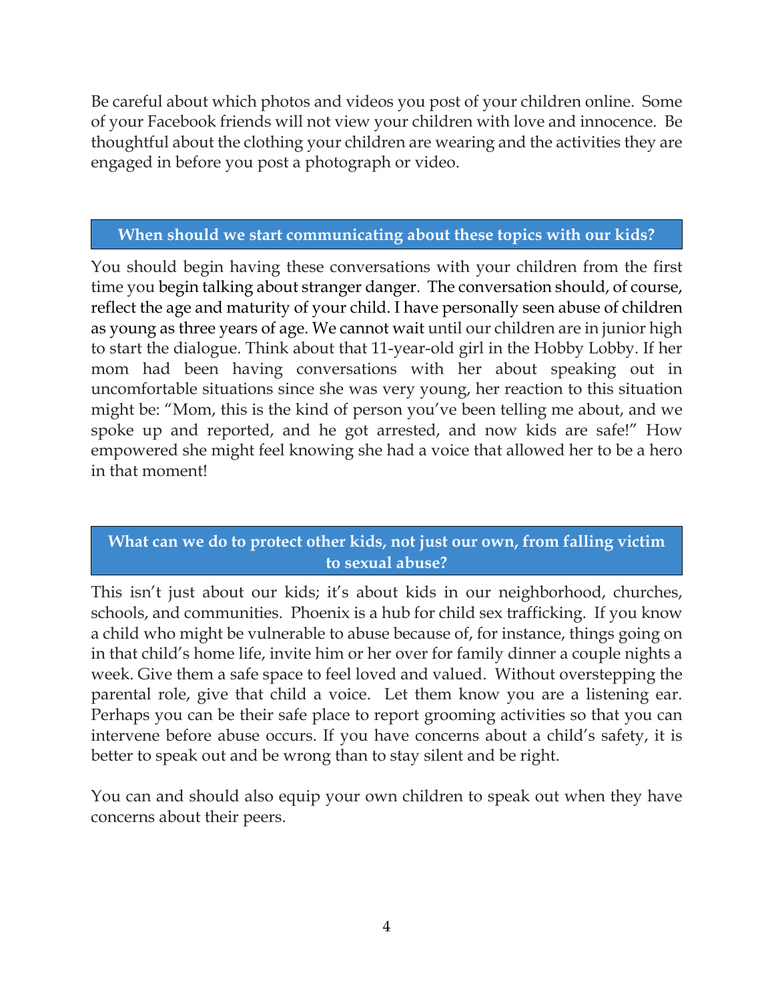Be careful about which photos and videos you post of your children online. Some of your Facebook friends will not view your children with love and innocence. Be thoughtful about the clothing your children are wearing and the activities they are engaged in before you post a photograph or video.

## **When should we start communicating about these topics with our kids?**

You should begin having these conversations with your children from the first time you begin talking about stranger danger. The conversation should, of course, reflect the age and maturity of your child. I have personally seen abuse of children as young as three years of age. We cannot wait until our children are in junior high to start the dialogue. Think about that 11-year-old girl in the Hobby Lobby. If her mom had been having conversations with her about speaking out in uncomfortable situations since she was very young, her reaction to this situation might be: "Mom, this is the kind of person you've been telling me about, and we spoke up and reported, and he got arrested, and now kids are safe!" How empowered she might feel knowing she had a voice that allowed her to be a hero in that moment!

# **What can we do to protect other kids, not just our own, from falling victim to sexual abuse?**

This isn't just about our kids; it's about kids in our neighborhood, churches, schools, and communities. Phoenix is a hub for child sex trafficking. If you know a child who might be vulnerable to abuse because of, for instance, things going on in that child's home life, invite him or her over for family dinner a couple nights a week. Give them a safe space to feel loved and valued. Without overstepping the parental role, give that child a voice. Let them know you are a listening ear. Perhaps you can be their safe place to report grooming activities so that you can intervene before abuse occurs. If you have concerns about a child's safety, it is better to speak out and be wrong than to stay silent and be right.

You can and should also equip your own children to speak out when they have concerns about their peers.